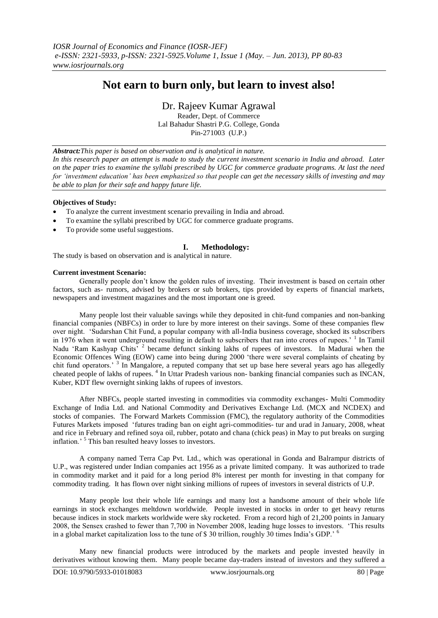# **Not earn to burn only, but learn to invest also!**

Dr. Rajeev Kumar Agrawal

Reader, Dept. of Commerce Lal Bahadur Shastri P.G. College, Gonda Pin-271003 (U.P.)

*Abstract:This paper is based on observation and is analytical in nature. In this research paper an attempt is made to study the current investment scenario in India and abroad. Later on the paper tries to examine the syllabi prescribed by UGC for commerce graduate programs. At last the need for 'investment education' has been emphasized so that people can get the necessary skills of investing and may be able to plan for their safe and happy future life.*

### **Objectives of Study:**

- To analyze the current investment scenario prevailing in India and abroad.
- To examine the syllabi prescribed by UGC for commerce graduate programs.
- To provide some useful suggestions.

# **I. Methodology:**

The study is based on observation and is analytical in nature.

### **Current investment Scenario:**

Generally people don't know the golden rules of investing. Their investment is based on certain other factors, such as- rumors, advised by brokers or sub brokers, tips provided by experts of financial markets, newspapers and investment magazines and the most important one is greed.

Many people lost their valuable savings while they deposited in chit-fund companies and non-banking financial companies (NBFCs) in order to lure by more interest on their savings. Some of these companies flew over night. 'Sudarshan Chit Fund, a popular company with all-India business coverage, shocked its subscribers in 1976 when it went underground resulting in default to subscribers that ran into crores of rupees.<sup>' 1</sup> In Tamil Nadu 'Ram Kashyap Chits' <sup>2</sup> became defunct sinking lakhs of rupees of investors. In Madurai when the Economic Offences Wing (EOW) came into being during 2000 'there were several complaints of cheating by chit fund operators.<sup>3</sup> In Mangalore, a reputed company that set up base here several years ago has allegedly cheated people of lakhs of rupees.<sup>4</sup> In Uttar Pradesh various non-banking financial companies such as INCAN, Kuber, KDT flew overnight sinking lakhs of rupees of investors.

After NBFCs, people started investing in commodities via commodity exchanges- Multi Commodity Exchange of India Ltd. and National Commodity and Derivatives Exchange Ltd. (MCX and NCDEX) and stocks of companies. The Forward Markets Commission (FMC), the regulatory authority of the Commodities Futures Markets imposed 'futures trading ban on eight agri-commodities- tur and urad in January, 2008, wheat and rice in February and refined soya oil, rubber, potato and chana (chick peas) in May to put breaks on surging inflation.' <sup>5</sup> This ban resulted heavy losses to investors.

A company named Terra Cap Pvt. Ltd., which was operational in Gonda and Balrampur districts of U.P., was registered under Indian companies act 1956 as a private limited company. It was authorized to trade in commodity market and it paid for a long period 8% interest per month for investing in that company for commodity trading. It has flown over night sinking millions of rupees of investors in several districts of U.P.

Many people lost their whole life earnings and many lost a handsome amount of their whole life earnings in stock exchanges meltdown worldwide. People invested in stocks in order to get heavy returns because indices in stock markets worldwide were sky rocketed. From a record high of 21,200 points in January 2008, the Sensex crashed to fewer than 7,700 in November 2008, leading huge losses to investors. 'This results in a global market capitalization loss to the tune of \$30 trillion, roughly 30 times India's GDP.' <sup>6</sup>

Many new financial products were introduced by the markets and people invested heavily in derivatives without knowing them. Many people became day-traders instead of investors and they suffered a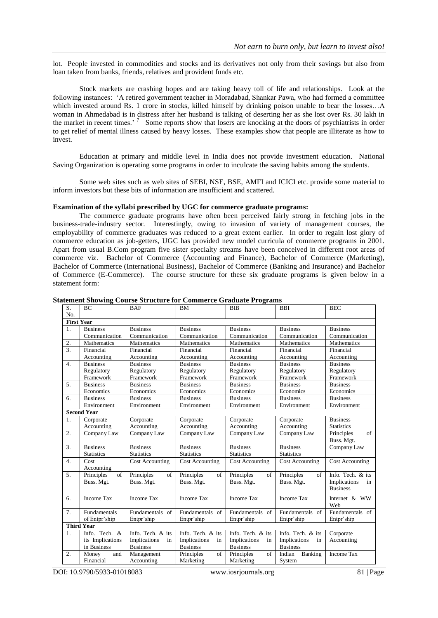lot. People invested in commodities and stocks and its derivatives not only from their savings but also from loan taken from banks, friends, relatives and provident funds etc.

Stock markets are crashing hopes and are taking heavy toll of life and relationships. Look at the following instances: 'A retired government teacher in Moradabad, Shankar Pawa, who had formed a committee which invested around Rs. 1 crore in stocks, killed himself by drinking poison unable to bear the losses...A woman in Ahmedabad is in distress after her husband is talking of deserting her as she lost over Rs. 30 lakh in the market in recent times.'<sup>7</sup> Some reports show that losers are knocking at the doors of psychiatrists in order to get relief of mental illness caused by heavy losses. These examples show that people are illiterate as how to invest.

Education at primary and middle level in India does not provide investment education. National Saving Organization is operating some programs in order to inculcate the saving habits among the students.

Some web sites such as web sites of SEBI, NSE, BSE, AMFI and ICICI etc. provide some material to inform investors but these bits of information are insufficient and scattered.

### **Examination of the syllabi prescribed by UGC for commerce graduate programs:**

The commerce graduate programs have often been perceived fairly strong in fetching jobs in the business-trade-industry sector. Interestingly, owing to invasion of variety of management courses, the employability of commerce graduates was reduced to a great extent earlier. In order to regain lost glory of commerce education as job-getters, UGC has provided new model curricula of commerce programs in 2001. Apart from usual B.Com program five sister specialty streams have been conceived in different root areas of commerce viz. Bachelor of Commerce (Accounting and Finance), Bachelor of Commerce (Marketing), Bachelor of Commerce (International Business), Bachelor of Commerce (Banking and Insurance) and Bachelor of Commerce (E-Commerce). The course structure for these six graduate programs is given below in a statement form:

| S.                 | BC                  | <b>BAF</b>             | <b>BM</b>          | <b>BIB</b>         | <b>BBI</b>         | <b>BEC</b>               |  |  |  |  |
|--------------------|---------------------|------------------------|--------------------|--------------------|--------------------|--------------------------|--|--|--|--|
| No.                |                     |                        |                    |                    |                    |                          |  |  |  |  |
| <b>First Year</b>  |                     |                        |                    |                    |                    |                          |  |  |  |  |
| 1.                 | <b>Business</b>     | <b>Business</b>        | <b>Business</b>    | <b>Business</b>    | <b>Business</b>    | <b>Business</b>          |  |  |  |  |
|                    | Communication       | Communication          | Communication      | Communication      | Communication      | Communication            |  |  |  |  |
| 2.                 | Mathematics         | Mathematics            | Mathematics        | Mathematics        | Mathematics        | Mathematics              |  |  |  |  |
| $\overline{3}$ .   | Financial           | Financial              | Financial          | Financial          | Financial          | Financial                |  |  |  |  |
|                    | Accounting          | Accounting             | Accounting         | Accounting         | Accounting         | Accounting               |  |  |  |  |
| $\overline{4}$ .   | <b>Business</b>     | <b>Business</b>        | <b>Business</b>    | <b>Business</b>    | <b>Business</b>    | <b>Business</b>          |  |  |  |  |
|                    | Regulatory          | Regulatory             | Regulatory         | Regulatory         | Regulatory         | Regulatory               |  |  |  |  |
|                    | Framework           | Framework              | Framework          | Framework          | Framework          | Framework                |  |  |  |  |
| 5.                 | <b>Business</b>     | <b>Business</b>        | <b>Business</b>    | <b>Business</b>    | <b>Business</b>    | <b>Business</b>          |  |  |  |  |
|                    | Economics           | Economics              | Economics          | Economics          | Economics          | Economics                |  |  |  |  |
| 6.                 | <b>Business</b>     | <b>Business</b>        | <b>Business</b>    | <b>Business</b>    | <b>Business</b>    | <b>Business</b>          |  |  |  |  |
|                    | Environment         | Environment            | Environment        | Environment        | Environment        | Environment              |  |  |  |  |
| <b>Second Year</b> |                     |                        |                    |                    |                    |                          |  |  |  |  |
| 1.                 | Corporate           | Corporate              | Corporate          | Corporate          | Corporate          | <b>Business</b>          |  |  |  |  |
|                    | Accounting          | Accounting             | Accounting         | Accounting         | Accounting         | <b>Statistics</b>        |  |  |  |  |
| $\overline{2}$ .   | Company Law         | Company Law            | Company Law        | Company Law        | Company Law        | $\sigma$ f<br>Principles |  |  |  |  |
|                    |                     |                        |                    |                    |                    | Buss. Mgt.               |  |  |  |  |
| 3.                 | <b>Business</b>     | <b>Business</b>        | <b>Business</b>    | <b>Business</b>    | <b>Business</b>    | Company Law              |  |  |  |  |
|                    | <b>Statistics</b>   | <b>Statistics</b>      | <b>Statistics</b>  | <b>Statistics</b>  | <b>Statistics</b>  |                          |  |  |  |  |
| 4.                 | Cost                | <b>Cost Accounting</b> | Cost Accounting    | Cost Accounting    | Cost Accounting    | Cost Accounting          |  |  |  |  |
|                    | Accounting          |                        |                    |                    |                    |                          |  |  |  |  |
| 5 <sub>1</sub>     | Principles<br>of    | Principles<br>of       | Principles<br>of   | Principles<br>of   | Principles<br>of   | Info. Tech. $&$ its      |  |  |  |  |
|                    | Buss. Mgt.          | Buss. Mgt.             | Buss. Mgt.         | Buss. Mgt.         | Buss. Mgt.         | Implications<br>in       |  |  |  |  |
|                    |                     |                        |                    |                    |                    | <b>Business</b>          |  |  |  |  |
| 6.                 | Income Tax          | Income Tax             | <b>Income Tax</b>  | Income Tax         | Income Tax         | Internet & WW            |  |  |  |  |
|                    |                     |                        |                    |                    |                    | Web                      |  |  |  |  |
| 7 <sub>1</sub>     | <b>Fundamentals</b> | Fundamentals of        | Fundamentals of    | Fundamentals of    | Fundamentals of    | Fundamentals of          |  |  |  |  |
|                    | of Entpr'ship       | Entpr'ship             | Entpr'ship         | Entpr'ship         | Entpr'ship         | Entpr'ship               |  |  |  |  |
| <b>Third Year</b>  |                     |                        |                    |                    |                    |                          |  |  |  |  |
| 1.                 | Info. Tech. &       | Info. Tech. & its      | Info. Tech. & its  | Info. Tech. & its  | Info. Tech. & its  | Corporate                |  |  |  |  |
|                    | its Implications    | Implications<br>in     | Implications<br>in | Implications<br>in | Implications<br>in | Accounting               |  |  |  |  |
|                    | in Business         | <b>Business</b>        | <b>Business</b>    | <b>Business</b>    | <b>Business</b>    |                          |  |  |  |  |
| 2.                 | Money<br>and        | Management             | Principles<br>of   | Principles<br>of   | Indian<br>Banking  | Income Tax               |  |  |  |  |
|                    | Financial           | Accounting             | Marketing          | Marketing          | System             |                          |  |  |  |  |

# **Statement Showing Course Structure for Commerce Graduate Programs**

DOI: 10.9790/5933-01018083 www.iosrjournals.org 81 | Page

 $S \cap R$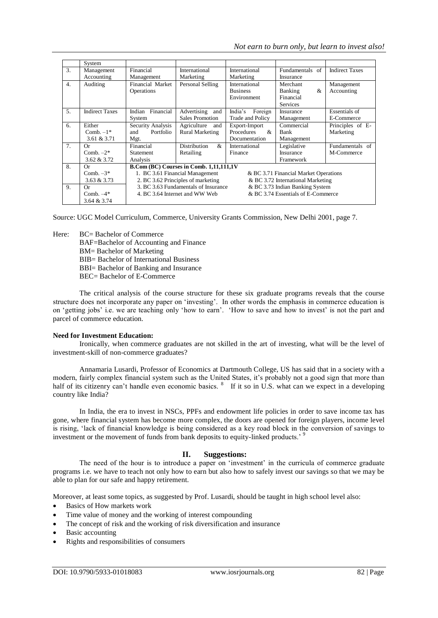|                  | System                  |                                                                          |                          |                             |                 |                       |  |  |  |
|------------------|-------------------------|--------------------------------------------------------------------------|--------------------------|-----------------------------|-----------------|-----------------------|--|--|--|
| 3.               | Management              | Financial                                                                | International            | International               | Fundamentals of | <b>Indirect Taxes</b> |  |  |  |
|                  | Accounting              | Management                                                               | Marketing                | Marketing                   | Insurance       |                       |  |  |  |
| $\overline{4}$ . | Auditing                | Financial Market                                                         | Personal Selling         | International               | Merchant        | Management            |  |  |  |
|                  |                         | Operations                                                               |                          | <b>Business</b>             | &<br>Banking    | Accounting            |  |  |  |
|                  |                         |                                                                          |                          | Environment                 | Financial       |                       |  |  |  |
|                  |                         |                                                                          |                          |                             | <b>Services</b> |                       |  |  |  |
| 5.               | <b>Indirect Taxes</b>   | Indian Financial                                                         | Advertising and          | India's<br>Foreign          | Insurance       | Essentials of         |  |  |  |
|                  |                         | System                                                                   | <b>Sales Promotion</b>   | Trade and Policy            | Management      | E-Commerce            |  |  |  |
| 6.               | Either                  | Security Analysis                                                        | Agriculture<br>and       | Export-Import               | Commercial      | Principles of E-      |  |  |  |
|                  | Comb. $-1$ <sup>*</sup> | Portfolio<br>and                                                         | <b>Rural Marketing</b>   | Procedures<br>$\mathcal{R}$ | Bank            | Marketing             |  |  |  |
|                  | 3.61 & 3.71             | Mgt.                                                                     |                          | Documentation               | Management      |                       |  |  |  |
| 7.               | Оr                      | Financial                                                                | <b>Distribution</b><br>& | International               | Legislative     | Fundamentals of       |  |  |  |
|                  | Comb. $-2^*$            | <b>Statement</b>                                                         | Retailing                | Finance                     | Insurance       | M-Commerce            |  |  |  |
|                  | $3.62 \& 3.72$          | Analysis                                                                 |                          |                             | Framework       |                       |  |  |  |
| 8.               | Оr                      | B.Com (BC) Courses in Comb. 1,11,111,1V                                  |                          |                             |                 |                       |  |  |  |
|                  | Comb. $-3*$             | 1. BC 3.61 Financial Management<br>& BC 3.71 Financial Market Operations |                          |                             |                 |                       |  |  |  |
|                  | 3.63 & 3.73             | 2. BC 3.62 Principles of marketing<br>& BC 3.72 International Marketing  |                          |                             |                 |                       |  |  |  |
| 9.               | Оr                      | 3. BC 3.63 Fundamentals of Insurance<br>& BC 3.73 Indian Banking System  |                          |                             |                 |                       |  |  |  |
|                  | Comb. $-4*$             | & BC 3.74 Essentials of E-Commerce<br>4. BC 3.64 Internet and WW Web     |                          |                             |                 |                       |  |  |  |
|                  | 3.64 & 3.74             |                                                                          |                          |                             |                 |                       |  |  |  |

Source: UGC Model Curriculum, Commerce, University Grants Commission, New Delhi 2001, page 7.

Here: BC= Bachelor of Commerce

BAF=Bachelor of Accounting and Finance

BM= Bachelor of Marketing

BIB= Bachelor of International Business

BBI= Bachelor of Banking and Insurance

BEC= Bachelor of E-Commerce

The critical analysis of the course structure for these six graduate programs reveals that the course structure does not incorporate any paper on 'investing'. In other words the emphasis in commerce education is on 'getting jobs' i.e. we are teaching only 'how to earn'. 'How to save and how to invest' is not the part and parcel of commerce education.

### **Need for Investment Education:**

Ironically, when commerce graduates are not skilled in the art of investing, what will be the level of investment-skill of non-commerce graduates?

Annamaria Lusardi, Professor of Economics at Dartmouth College, US has said that in a society with a modern, fairly complex financial system such as the United States, it's probably not a good sign that more than half of its citizenry can't handle even economic basics. <sup>8</sup> If it so in U.S. what can we expect in a developing country like India?

In India, the era to invest in NSCs, PPFs and endowment life policies in order to save income tax has gone, where financial system has become more complex, the doors are opened for foreign players, income level is rising, 'lack of financial knowledge is being considered as a key road block in the conversion of savings to investment or the movement of funds from bank deposits to equity-linked products.<sup>9</sup>

# **II. Suggestions:**

The need of the hour is to introduce a paper on 'investment' in the curricula of commerce graduate programs i.e. we have to teach not only how to earn but also how to safely invest our savings so that we may be able to plan for our safe and happy retirement.

Moreover, at least some topics, as suggested by Prof. Lusardi, should be taught in high school level also:

- Basics of How markets work
- Time value of money and the working of interest compounding
- The concept of risk and the working of risk diversification and insurance
- Basic accounting
- Rights and responsibilities of consumers